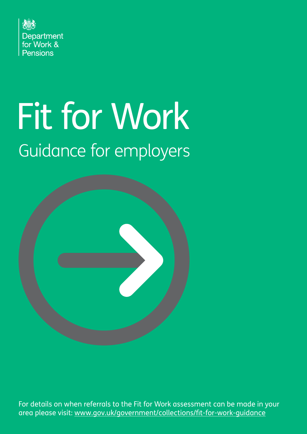

# Fit for Work Guidance for employers



For details on when referrals to the Fit for Work assessment can be made in your area please visit: [www.gov.uk/government/collections/fit-for-work-guidance](http://www.gov.uk/government/collections/fit-for-work-guidance)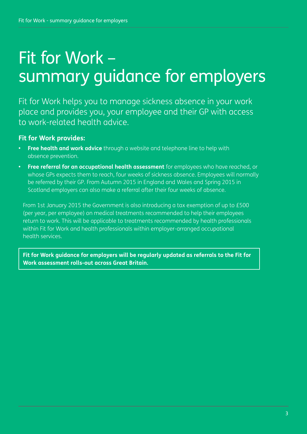# Fit for Work – summary guidance for employers

Fit for Work helps you to manage sickness absence in your work place and provides you, your employee and their GP with access to work-related health advice.

### **Fit for Work provides:**

- **• Free health and work advice** through a website and telephone line to help with absence prevention.
- **• Free referral for an occupational health assessment** for employees who have reached, or whose GPs expects them to reach, four weeks of sickness absence. Employees will normally be referred by their GP. From Autumn 2015 in England and Wales and Spring 2015 in Scotland employers can also make a referral after their four weeks of absence.

From 1st January 2015 the Government is also introducing a tax exemption of up to £500 (per year, per employee) on medical treatments recommended to help their employees return to work. This will be applicable to treatments recommended by health professionals within Fit for Work and health professionals within employer-arranged occupational health services.

**Fit for Work guidance for employers will be regularly updated as referrals to the Fit for Work assessment rolls-out across Great Britain.**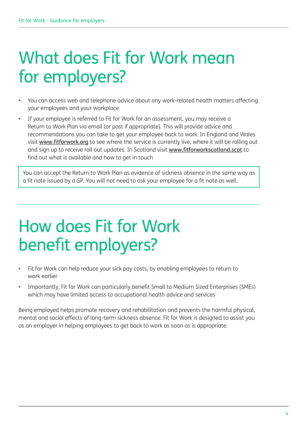# What does Fit for Work mean for employers?

- You can access web and telephone advice about any work-related health matters affecting your employees and your workplace
- If your employee is referred to Fit for Work for an assessment, you may receive a Return to Work Plan via email (or post if appropriate). This will provide advice and recommendations you can take to get your employee back to work. In England and Wales visit [www.fitforwork.org](http://www.fitforwork.org) to see where the service is currently live, where it will be rolling out and sign up to receive roll out updates. In Scotland visit [www.fitforworkscotland.scot](http://www.fitforworkscotland.scot) to find out what is available and how to get in touch

You can accept the Return to Work Plan as evidence of sickness absence in the same way as a fit note issued by a GP. You will not need to ask your employee for a fit note as well.

# How does Fit for Work benefit employers?

- Fit for Work can help reduce your sick pay costs, by enabling employees to return to work earlier
- Importantly, Fit for Work can particularly benefit Small to Medium Sized Enterprises (SMEs) which may have limited access to occupational health advice and services

Being employed helps promote recovery and rehabilitation and prevents the harmful physical, mental and social effects of long-term sickness absence. Fit for Work is designed to assist you as an employer in helping employees to get back to work as soon as is appropriate.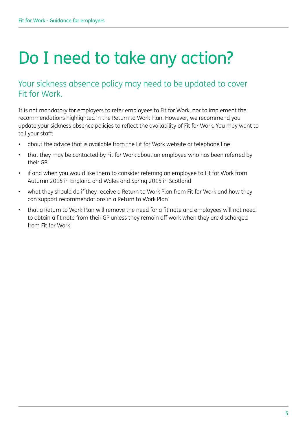# Do I need to take any action?

# Your sickness absence policy may need to be updated to cover Fit for Work.

It is not mandatory for employers to refer employees to Fit for Work, nor to implement the recommendations highlighted in the Return to Work Plan. However, we recommend you update your sickness absence policies to reflect the availability of Fit for Work. You may want to tell your staff:

- about the advice that is available from the Fit for Work website or telephone line
- that they may be contacted by Fit for Work about an employee who has been referred by their GP
- if and when you would like them to consider referring an employee to Fit for Work from Autumn 2015 in England and Wales and Spring 2015 in Scotland
- what they should do if they receive a Return to Work Plan from Fit for Work and how they can support recommendations in a Return to Work Plan
- that a Return to Work Plan will remove the need for a fit note and employees will not need to obtain a fit note from their GP unless they remain off work when they are discharged from Fit for Work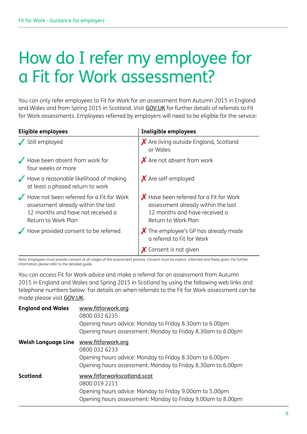# How do I refer my employee for a Fit for Work assessment?

You can only refer employees to Fit for Work for an assessment from Autumn 2015 in England and Wales and from Spring 2015 in Scotland. Visit [GOV.UK](https://www.gov.uk/government/collections/fit-for-work-guidance) for further details of referrals to Fit for Work assessments. Employees referred by employers will need to be eligible for the service:

| <b>Eligible employees</b>                                                                                                                   | <b>Ineligible employees</b>                                                                                                           |
|---------------------------------------------------------------------------------------------------------------------------------------------|---------------------------------------------------------------------------------------------------------------------------------------|
| Still employed                                                                                                                              | X Are living outside England, Scotland<br>or Wales                                                                                    |
| Have been absent from work for<br>four weeks or more                                                                                        | $\boldsymbol{X}$ Are not absent from work                                                                                             |
| Have a reasonable likelihood of making<br>at least a phased return to work                                                                  | $\boldsymbol{X}$ Are self-employed                                                                                                    |
| Have not been referred for a Fit for Work<br>assessment already within the last<br>12 months and have not received a<br>Return to Work Plan | X Have been referred for a Fit for Work<br>assessment already within the last<br>12 months and have received a<br>Return to Work Plan |
| Have provided consent to be referred                                                                                                        | X The employee's GP has already made<br>a referral to Fit for Work                                                                    |
|                                                                                                                                             | Consent is not given                                                                                                                  |

Note: Employees must provide consent at all stages of the assessment process. Consent must be explicit, informed and freely given. For further information please refer to the detailed guide.

You can access Fit for Work advice and make a referral for an assessment from Autumn 2015 in England and Wales and Spring 2015 in Scotland by using the following web links and telephone numbers below. For details on when referrals to the Fit for Work assessment can be made please visit [GOV.UK.](https://www.gov.uk/government/collections/fit-for-work-guidance)

| <b>England and Wales</b>   | www.fitforwork.org<br>0800 032 6235<br>Opening hours advice: Monday to Friday 8.30am to 6.00pm<br>Opening hours assessment: Monday to Friday 8.30am to 6.00pm          |
|----------------------------|------------------------------------------------------------------------------------------------------------------------------------------------------------------------|
| <b>Welsh Language Line</b> | www.fitforwork.org<br>0800 032 6233<br>Opening hours advice: Monday to Friday 8.30am to 6.00pm<br>Opening hours assessment: Monday to Friday 8.30am to 6.00pm          |
| Scotland                   | www.fitforworkscotland.scot<br>0800 019 2211<br>Opening hours advice: Monday to Friday 9.00am to 5.00pm<br>Opening hours assessment: Monday to Friday 9.00am to 8.00pm |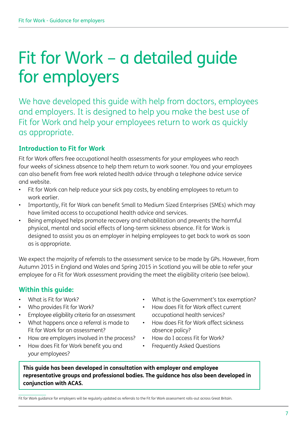# Fit for Work – a detailed guide for employers

We have developed this guide with help from doctors, employees and employers. It is designed to help you make the best use of Fit for Work and help your employees return to work as quickly as appropriate.

### **Introduction to Fit for Work**

Fit for Work offers free occupational health assessments for your employees who reach four weeks of sickness absence to help them return to work sooner. You and your employees can also benefit from free work related health advice through a telephone advice service and website.

- Fit for Work can help reduce your sick pay costs, by enabling employees to return to work earlier.
- Importantly, Fit for Work can benefit Small to Medium Sized Enterprises (SMEs) which may have limited access to occupational health advice and services.
- Being employed helps promote recovery and rehabilitation and prevents the harmful physical, mental and social effects of long-term sickness absence. Fit for Work is designed to assist you as an employer in helping employees to get back to work as soon as is appropriate.

We expect the majority of referrals to the assessment service to be made by GPs. However, from Autumn 2015 in England and Wales and Spring 2015 in Scotland you will be able to refer your employee for a Fit for Work assessment providing the meet the eligibility criteria (see below).

### **Within this guide:**

- What is Fit for Work?
- Who provides Fit for Work?
- Employee eligibility criteria for an assessment
- What happens once a referral is made to Fit for Work for an assessment?
- How are employers involved in the process?
- How does Fit for Work benefit you and your employees?
- What is the Government's tax exemption?
- How does Fit for Work affect current occupational health services?
- How does Fit for Work affect sickness absence policy?
- How do I access Fit for Work?
- Frequently Asked Questions

**This guide has been developed in consultation with employer and employee representative groups and professional bodies. The guidance has also been developed in conjunction with ACAS.**

Fit for Work guidance for employers will be regularly updated as referrals to the Fit for Work assessment rolls-out across Great Britain.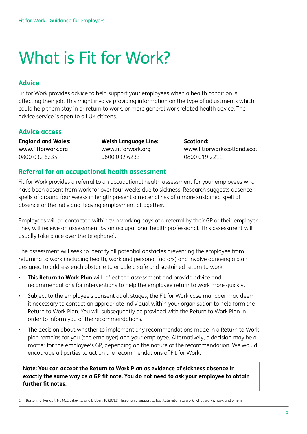# What is Fit for Work?

### **Advice**

Fit for Work provides advice to help support your employees when a health condition is affecting their job. This might involve providing information on the type of adjustments which could help them stay in or return to work, or more general work related health advice. The advice service is open to all UK citizens.

### **Advice access**

**England and Wales:**  [www.fitforwork.org](http://www.fitforwork.org) 0800 032 6235

**Welsh Language Line:**  [www.fitforwork.org](http://www.fitforwork.org) 0800 032 6233

**Scotland:**  [www.fitforworkscotland.scot](http://www.fitforworkScotland.scot) 0800 019 2211

### **Referral for an occupational health assessment**

Fit for Work provides a referral to an occupational health assessment for your employees who have been absent from work for over four weeks due to sickness. Research suggests absence spells of around four weeks in length present a material risk of a more sustained spell of absence or the individual leaving employment altogether.

Employees will be contacted within two working days of a referral by their GP or their employer. They will receive an assessment by an occupational health professional. This assessment will usually take place over the telephone<sup>1</sup>.

The assessment will seek to identify all potential obstacles preventing the employee from returning to work (including health, work and personal factors) and involve agreeing a plan designed to address each obstacle to enable a safe and sustained return to work.

- This **Return to Work Plan** will reflect the assessment and provide advice and recommendations for interventions to help the employee return to work more quickly.
- Subject to the employee's consent at all stages, the Fit for Work case manager may deem it necessary to contact an appropriate individual within your organisation to help form the Return to Work Plan. You will subsequently be provided with the Return to Work Plan in order to inform you of the recommendations.
- The decision about whether to implement any recommendations made in a Return to Work plan remains for you (the employer) and your employee. Alternatively, a decision may be a matter for the employee's GP, depending on the nature of the recommendation. We would encourage all parties to act on the recommendations of Fit for Work.

**Note: You can accept the Return to Work Plan as evidence of sickness absence in exactly the same way as a GP fit note. You do not need to ask your employee to obtain further fit notes.**

Burton, K., Kendall, N., McCluskey, S. and Dibben, P. (2013). Telephonic support to facilitate return to work: what works, how, and when?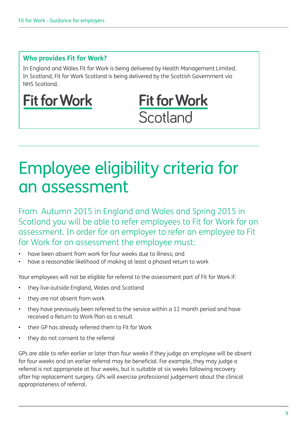#### **Who provides Fit for Work?**

In England and Wales Fit for Work is being delivered by Health Management Limited. In Scotland, Fit for Work Scotland is being delivered by the Scottish Government via NHS Scotland.





# Employee eligibility criteria for an assessment

From Autumn 2015 in England and Wales and Spring 2015 in Scotland you will be able to refer employees to Fit for Work for an assessment. In order for an employer to refer an employee to Fit for Work for an assessment the employee must:

- have been absent from work for four weeks due to illness; and
- have a reasonable likelihood of making at least a phased return to work

Your employees will not be eligible for referral to the assessment part of Fit for Work if:

- they live outside England, Wales and Scotland
- they are not absent from work
- they have previously been referred to the service within a 12 month period and have received a Return to Work Plan as a result
- their GP has already referred them to Fit for Work
- they do not consent to the referral

GPs are able to refer earlier or later than four weeks if they judge an employee will be absent for four weeks and an earlier referral may be beneficial. For example, they may judge a referral is not appropriate at four weeks, but is suitable at six weeks following recovery after hip replacement surgery. GPs will exercise professional judgement about the clinical appropriateness of referral.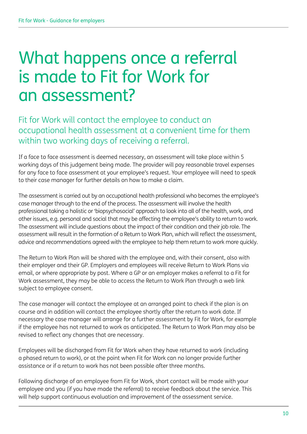# What happens once a referral is made to Fit for Work for an assessment?

Fit for Work will contact the employee to conduct an occupational health assessment at a convenient time for them within two working days of receiving a referral.

If a face to face assessment is deemed necessary, an assessment will take place within 5 working days of this judgement being made. The provider will pay reasonable travel expenses for any face to face assessment at your employee's request. Your employee will need to speak to their case manager for further details on how to make a claim.

The assessment is carried out by an occupational health professional who becomes the employee's case manager through to the end of the process. The assessment will involve the health professional taking a holistic or 'biopsychosocial' approach to look into all of the health, work, and other issues, e.g. personal and social that may be affecting the employee's ability to return to work. The assessment will include questions about the impact of their condition and their job role. The assessment will result in the formation of a Return to Work Plan, which will reflect the assessment, advice and recommendations agreed with the employee to help them return to work more quickly.

The Return to Work Plan will be shared with the employee and, with their consent, also with their employer and their GP. Employers and employees will receive Return to Work Plans via email, or where appropriate by post. Where a GP or an employer makes a referral to a Fit for Work assessment, they may be able to access the Return to Work Plan through a web link subject to employee consent.

The case manager will contact the employee at an arranged point to check if the plan is on course and in addition will contact the employee shortly after the return to work date. If necessary the case manager will arrange for a further assessment by Fit for Work, for example if the employee has not returned to work as anticipated. The Return to Work Plan may also be revised to reflect any changes that are necessary.

Employees will be discharged from Fit for Work when they have returned to work (including a phased return to work), or at the point when Fit for Work can no longer provide further assistance or if a return to work has not been possible after three months.

Following discharge of an employee from Fit for Work, short contact will be made with your employee and you (if you have made the referral) to receive feedback about the service. This will help support continuous evaluation and improvement of the assessment service.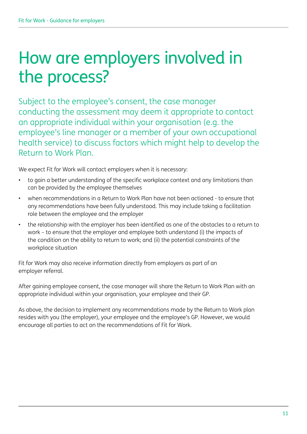# How are employers involved in the process?

Subject to the employee's consent, the case manager conducting the assessment may deem it appropriate to contact an appropriate individual within your organisation (e.g. the employee's line manager or a member of your own occupational health service) to discuss factors which might help to develop the Return to Work Plan.

We expect Fit for Work will contact employers when it is necessary:

- to gain a better understanding of the specific workplace context and any limitations than can be provided by the employee themselves
- when recommendations in a Return to Work Plan have not been actioned to ensure that any recommendations have been fully understood. This may include taking a facilitation role between the employee and the employer
- the relationship with the employer has been identified as one of the obstacles to a return to work – to ensure that the employer and employee both understand (i) the impacts of the condition on the ability to return to work; and (ii) the potential constraints of the workplace situation

Fit for Work may also receive information directly from employers as part of an employer referral.

After gaining employee consent, the case manager will share the Return to Work Plan with an appropriate individual within your organisation, your employee and their GP.

As above, the decision to implement any recommendations made by the Return to Work plan resides with you (the employer), your employee and the employee's GP. However, we would encourage all parties to act on the recommendations of Fit for Work.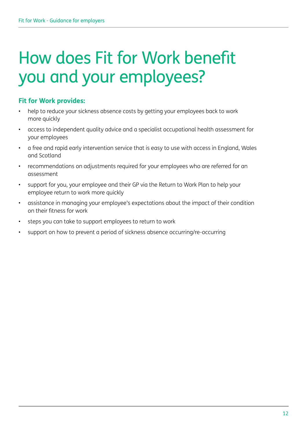# How does Fit for Work benefit you and your employees?

### **Fit for Work provides:**

- help to reduce your sickness absence costs by getting your employees back to work more quickly
- access to independent quality advice and a specialist occupational health assessment for your employees
- a free and rapid early intervention service that is easy to use with access in England, Wales and Scotland
- recommendations on adjustments required for your employees who are referred for an assessment
- support for you, your employee and their GP via the Return to Work Plan to help your employee return to work more quickly
- assistance in managing your employee's expectations about the impact of their condition on their fitness for work
- steps you can take to support employees to return to work
- support on how to prevent a period of sickness absence occurring/re-occurring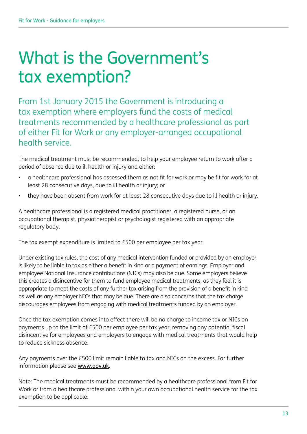# What is the Government's tax exemption?

From 1st January 2015 the Government is introducing a tax exemption where employers fund the costs of medical treatments recommended by a healthcare professional as part of either Fit for Work or any employer-arranged occupational health service.

The medical treatment must be recommended, to help your employee return to work after a period of absence due to ill health or injury and either:

- a healthcare professional has assessed them as not fit for work or may be fit for work for at least 28 consecutive days, due to ill health or injury; or
- they have been absent from work for at least 28 consecutive days due to ill health or injury.

A healthcare professional is a registered medical practitioner, a registered nurse, or an occupational therapist, physiotherapist or psychologist registered with an appropriate regulatory body.

The tax exempt expenditure is limited to £500 per employee per tax year.

Under existing tax rules, the cost of any medical intervention funded or provided by an employer is likely to be liable to tax as either a benefit in kind or a payment of earnings. Employer and employee National Insurance contributions (NICs) may also be due. Some employers believe this creates a disincentive for them to fund employee medical treatments, as they feel it is appropriate to meet the costs of any further tax arising from the provision of a benefit in kind as well as any employer NICs that may be due. There are also concerns that the tax charge discourages employees from engaging with medical treatments funded by an employer.

Once the tax exemption comes into effect there will be no charge to income tax or NICs on payments up to the limit of £500 per employee per tax year, removing any potential fiscal disincentive for employees and employers to engage with medical treatments that would help to reduce sickness absence.

Any payments over the £500 limit remain liable to tax and NICs on the excess. For further information please see [www.gov.uk](http://www.gov.uk).

Note: The medical treatments must be recommended by a healthcare professional from Fit for Work or from a healthcare professional within your own occupational health service for the tax exemption to be applicable.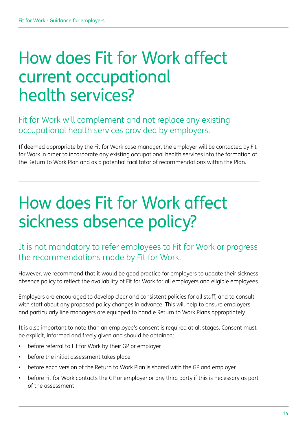# How does Fit for Work affect current occupational health services?

# Fit for Work will complement and not replace any existing occupational health services provided by employers.

If deemed appropriate by the Fit for Work case manager, the employer will be contacted by Fit for Work in order to incorporate any existing occupational health services into the formation of the Return to Work Plan and as a potential facilitator of recommendations within the Plan.

# How does Fit for Work affect sickness absence policy?

# It is not mandatory to refer employees to Fit for Work or progress the recommendations made by Fit for Work.

However, we recommend that it would be good practice for employers to update their sickness absence policy to reflect the availability of Fit for Work for all employers and eligible employees.

Employers are encouraged to develop clear and consistent policies for all staff, and to consult with staff about any proposed policy changes in advance. This will help to ensure employers and particularly line managers are equipped to handle Return to Work Plans appropriately.

It is also important to note than an employee's consent is required at all stages. Consent must be explicit, informed and freely given and should be obtained:

- before referral to Fit for Work by their GP or employer
- before the initial assessment takes place
- before each version of the Return to Work Plan is shared with the GP and employer
- before Fit for Work contacts the GP or employer or any third party if this is necessary as part of the assessment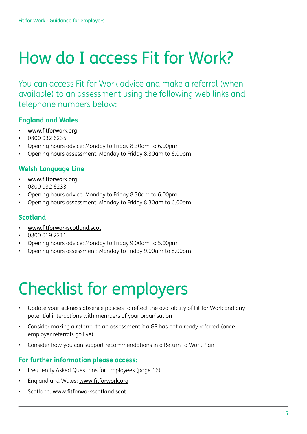# How do I access Fit for Work?

You can access Fit for Work advice and make a referral (when available) to an assessment using the following web links and telephone numbers below:

### **England and Wales**

- [www.fitforwork.org](http://www.fitforwork.org)
- 0800 032 6235
- Opening hours advice: Monday to Friday 8.30am to 6.00pm
- Opening hours assessment: Monday to Friday 8.30am to 6.00pm

### **Welsh Language Line**

- [www.fitforwork.org](http://www.fitforwork.org)
- 0800 032 6233
- Opening hours advice: Monday to Friday 8.30am to 6.00pm
- Opening hours assessment: Monday to Friday 8.30am to 6.00pm

### **Scotland**

- [www.fitforworkscotland.scot](http://www.fitforworkscotland.scot)
- 0800 019 2211
- Opening hours advice: Monday to Friday 9.00am to 5.00pm
- Opening hours assessment: Monday to Friday 9.00am to 8.00pm

# Checklist for employers

- Update your sickness absence policies to reflect the availability of Fit for Work and any potential interactions with members of your organisation
- Consider making a referral to an assessment if a GP has not already referred (once employer referrals go live)
- Consider how you can support recommendations in a Return to Work Plan

### **For further information please access:**

- Frequently Asked Questions for Employees (page 16)
- England and Wales: [www.fitforwork.org](http://www.fitforwork.org)
- Scotland: [www.fitforworkscotland.scot](http://www.fitforworkscotland.scot)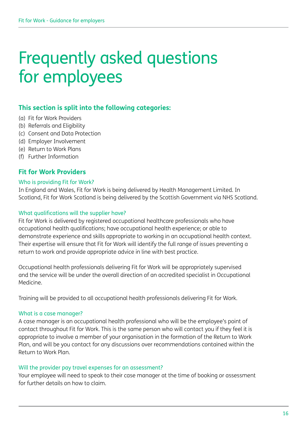# Frequently asked questions for employees

### **This section is split into the following categories:**

- (a) Fit for Work Providers
- (b) Referrals and Eligibility
- (c) Consent and Data Protection
- (d) Employer Involvement
- (e) Return to Work Plans
- (f) Further Information

### **Fit for Work Providers**

#### Who is providing Fit for Work?

In England and Wales, Fit for Work is being delivered by Health Management Limited. In Scotland, Fit for Work Scotland is being delivered by the Scottish Government via NHS Scotland.

#### What qualifications will the supplier have?

Fit for Work is delivered by registered occupational healthcare professionals who have occupational health qualifications; have occupational health experience; or able to demonstrate experience and skills appropriate to working in an occupational health context. Their expertise will ensure that Fit for Work will identify the full range of issues preventing a return to work and provide appropriate advice in line with best practice.

Occupational health professionals delivering Fit for Work will be appropriately supervised and the service will be under the overall direction of an accredited specialist in Occupational Medicine.

Training will be provided to all occupational health professionals delivering Fit for Work.

#### What is a case manager?

A case manager is an occupational health professional who will be the employee's point of contact throughout Fit for Work. This is the same person who will contact you if they feel it is appropriate to involve a member of your organisation in the formation of the Return to Work Plan, and will be you contact for any discussions over recommendations contained within the Return to Work Plan.

#### Will the provider pay travel expenses for an assessment?

Your employee will need to speak to their case manager at the time of booking or assessment for further details on how to claim.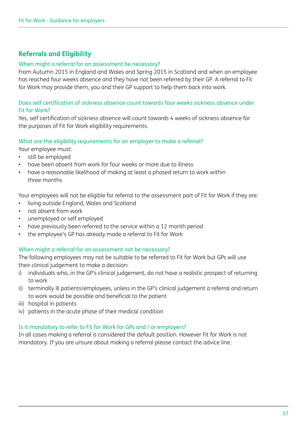### **Referrals and Eligibility**

#### When might a referral for an assessment be necessary?

From Autumn 2015 in England and Wales and Spring 2015 in Scotland and when an employee has reached four weeks absence and they have not been referred by their GP. A referral to Fit for Work may provide them, you and their GP support to help them back into work.

#### Does self certification of sickness absence count towards four weeks sickness absence under Fit for Work?

Yes, self certification of sickness absence will count towards 4 weeks of sickness absence for the purposes of Fit for Work eligibility requirements.

#### What are the eligibility requirements for an employer to make a referral?

Your employee must:

- still be employed
- have been absent from work for four weeks or more due to illness
- have a reasonable likelihood of making at least a phased return to work within three months

Your employees will not be eligible for referral to the assessment part of Fit for Work if they are:

- living outside England, Wales and Scotland
- not absent from work
- unemployed or self employed
- have previously been referred to the service within a 12 month period
- the employee's GP has already made a referral to Fit for Work

#### When might a referral for an assessment not be necessary?

The following employees may not be suitable to be referred to Fit for Work but GPs will use their clinical judgement to make a decision:

- i) individuals who, in the GP's clinical judgement, do not have a realistic prospect of returning to work
- ii) terminally ill patients/employees, unless in the GP's clinical judgement a referral and return to work would be possible and beneficial to the patient
- iii) hospital in patients
- iv) patients in the acute phase of their medical condition

#### Is it mandatory to refer to Fit for Work for GPs and / or employers?

In all cases making a referral is considered the default position. However Fit for Work is not mandatory. If you are unsure about making a referral please contact the advice line.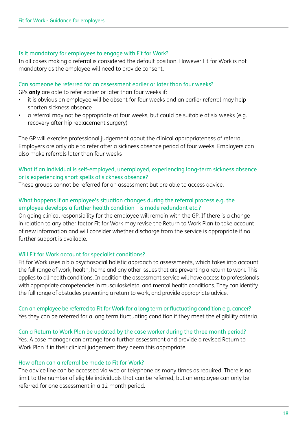#### Is it mandatory for employees to engage with Fit for Work?

In all cases making a referral is considered the default position. However Fit for Work is not mandatory as the employee will need to provide consent.

#### Can someone be referred for an assessment earlier or later than four weeks?

GPs **only** are able to refer earlier or later than four weeks if:

- it is obvious an employee will be absent for four weeks and an earlier referral may help shorten sickness absence
- a referral may not be appropriate at four weeks, but could be suitable at six weeks (e.g. recovery after hip replacement surgery)

The GP will exercise professional judgement about the clinical appropriateness of referral. Employers are only able to refer after a sickness absence period of four weeks. Employers can also make referrals later than four weeks

#### What if an individual is self-employed, unemployed, experiencing long-term sickness absence or is experiencing short spells of sickness absence?

These groups cannot be referred for an assessment but are able to access advice.

#### What happens if an employee's situation changes during the referral process e.g. the employee develops a further health condition - is made redundant etc.?

On going clinical responsibility for the employee will remain with the GP. If there is a change in relation to any other factor Fit for Work may revise the Return to Work Plan to take account of new information and will consider whether discharge from the service is appropriate if no further support is available.

#### Will Fit for Work account for specialist conditions?

Fit for Work uses a bio psychosocial holistic approach to assessments, which takes into account the full range of work, health, home and any other issues that are preventing a return to work. This applies to all health conditions. In addition the assessment service will have access to professionals with appropriate competencies in musculoskeletal and mental health conditions. They can identify the full range of obstacles preventing a return to work, and provide appropriate advice.

Can an employee be referred to Fit for Work for a long term or fluctuating condition e.g. cancer? Yes they can be referred for a long term fluctuating condition if they meet the eligibility criteria.

Can a Return to Work Plan be updated by the case worker during the three month period? Yes. A case manager can arrange for a further assessment and provide a revised Return to Work Plan if in their clinical judgement they deem this appropriate.

#### How often can a referral be made to Fit for Work?

The advice line can be accessed via web or telephone as many times as required. There is no limit to the number of eligible individuals that can be referred, but an employee can only be referred for one assessment in a 12 month period.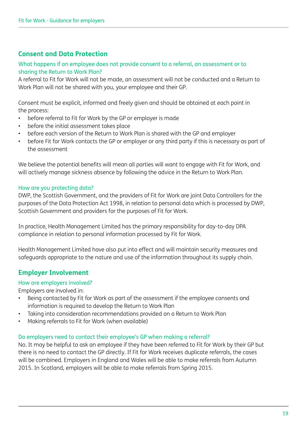### **Consent and Data Protection**

#### What happens if an employee does not provide consent to a referral, an assessment or to sharing the Return to Work Plan?

A referral to Fit for Work will not be made, an assessment will not be conducted and a Return to Work Plan will not be shared with you, your employee and their GP.

Consent must be explicit, informed and freely given and should be obtained at each point in the process:

- before referral to Fit for Work by the GP or employer is made
- before the initial assessment takes place
- before each version of the Return to Work Plan is shared with the GP and employer
- before Fit for Work contacts the GP or employer or any third party if this is necessary as part of the assessment

We believe the potential benefits will mean all parties will want to engage with Fit for Work, and will actively manage sickness absence by following the advice in the Return to Work Plan.

#### How are you protecting data?

DWP, the Scottish Government, and the providers of Fit for Work are joint Data Controllers for the purposes of the Data Protection Act 1998, in relation to personal data which is processed by DWP, Scottish Government and providers for the purposes of Fit for Work.

In practice, Health Management Limited has the primary responsibility for day-to-day DPA compliance in relation to personal information processed by Fit for Work.

Health Management Limited have also put into effect and will maintain security measures and safeguards appropriate to the nature and use of the information throughout its supply chain.

#### **Employer Involvement**

#### How are employers involved?

Employers are involved in:

- Being contacted by Fit for Work as part of the assessment if the employee consents and information is required to develop the Return to Work Plan
- Taking into consideration recommendations provided on a Return to Work Plan
- Making referrals to Fit for Work (when available)

#### Do employers need to contact their employee's GP when making a referral?

No. It may be helpful to ask an employee if they have been referred to Fit for Work by their GP but there is no need to contact the GP directly. If Fit for Work receives duplicate referrals, the cases will be combined. Employers in England and Wales will be able to make referrals from Autumn 2015. In Scotland, employers will be able to make referrals from Spring 2015.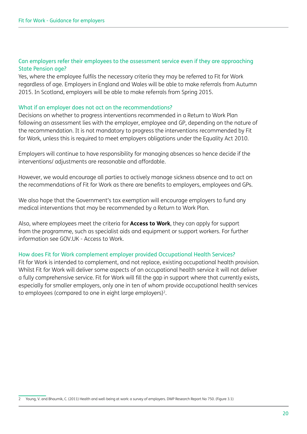#### Can employers refer their employees to the assessment service even if they are approaching State Pension age?

Yes, where the employee fulfils the necessary criteria they may be referred to Fit for Work regardless of age. Employers in England and Wales will be able to make referrals from Autumn 2015. In Scotland, employers will be able to make referrals from Spring 2015.

#### What if an employer does not act on the recommendations?

Decisions on whether to progress interventions recommended in a Return to Work Plan following an assessment lies with the employer, employee and GP, depending on the nature of the recommendation. It is not mandatory to progress the interventions recommended by Fit for Work, unless this is required to meet employers obligations under the Equality Act 2010.

Employers will continue to have responsibility for managing absences so hence decide if the interventions/ adjustments are reasonable and affordable.

However, we would encourage all parties to actively manage sickness absence and to act on the recommendations of Fit for Work as there are benefits to employers, employees and GPs.

We also hope that the Government's tax exemption will encourage employers to fund any medical interventions that may be recommended by a Return to Work Plan.

Also, where employees meet the criteria for **Access to Work**, they can apply for support from the programme, such as specialist aids and equipment or support workers. For further information see GOV.UK - Access to Work.

#### How does Fit for Work complement employer provided Occupational Health Services?

Fit for Work is intended to complement, and not replace, existing occupational health provision. Whilst Fit for Work will deliver some aspects of an occupational health service it will not deliver a fully comprehensive service. Fit for Work will fill the gap in support where that currently exists, especially for smaller employers, only one in ten of whom provide occupational health services to employees (compared to one in eight large employers)<sup>2</sup>.

<sup>2</sup> Young, V. and Bhaumik, C. (2011) Health and well-being at work: a survey of employers. DWP Research Report No 750. (Figure 3.1)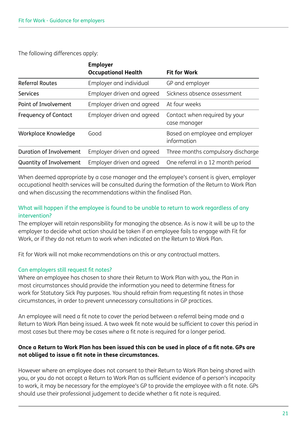The following differences apply:

|                             | <b>Employer</b><br><b>Occupational Health</b> | <b>Fit for Work</b>                           |
|-----------------------------|-----------------------------------------------|-----------------------------------------------|
|                             |                                               |                                               |
| <b>Referral Routes</b>      | Employer and individual                       | GP and employer                               |
| <b>Services</b>             | Employer driven and agreed                    | Sickness absence assessment                   |
| Point of Involvement        | Employer driven and agreed                    | At four weeks                                 |
| <b>Frequency of Contact</b> | Employer driven and agreed                    | Contact when required by your<br>case manager |
| Workplace Knowledge         | Good                                          | Based on employee and employer<br>information |
| Duration of Involvement     | Employer driven and agreed                    | Three months compulsory discharge             |
| Quantity of Involvement     | Employer driven and agreed                    | One referral in a 12 month period             |

When deemed appropriate by a case manager and the employee's consent is given, employer occupational health services will be consulted during the formation of the Return to Work Plan and when discussing the recommendations within the finalised Plan.

#### What will happen if the employee is found to be unable to return to work regardless of any intervention?

The employer will retain responsibility for managing the absence. As is now it will be up to the employer to decide what action should be taken if an employee fails to engage with Fit for Work, or if they do not return to work when indicated on the Return to Work Plan.

Fit for Work will not make recommendations on this or any contractual matters.

#### Can employers still request fit notes?

Where an employee has chosen to share their Return to Work Plan with you, the Plan in most circumstances should provide the information you need to determine fitness for work for Statutory Sick Pay purposes. You should refrain from requesting fit notes in those circumstances, in order to prevent unnecessary consultations in GP practices.

An employee will need a fit note to cover the period between a referral being made and a Return to Work Plan being issued. A two week fit note would be sufficient to cover this period in most cases but there may be cases where a fit note is required for a longer period.

#### **Once a Return to Work Plan has been issued this can be used in place of a fit note. GPs are not obliged to issue a fit note in these circumstances.**

However where an employee does not consent to their Return to Work Plan being shared with you, or you do not accept a Return to Work Plan as sufficient evidence of a person's incapacity to work, it may be necessary for the employee's GP to provide the employee with a fit note. GPs should use their professional judgement to decide whether a fit note is required.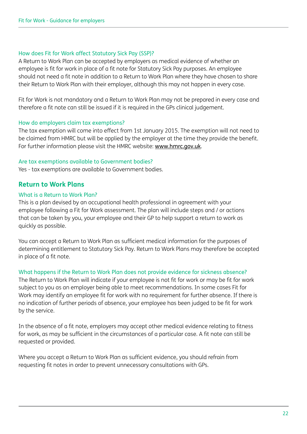#### How does Fit for Work affect Statutory Sick Pay (SSP)?

A Return to Work Plan can be accepted by employers as medical evidence of whether an employee is fit for work in place of a fit note for Statutory Sick Pay purposes. An employee should not need a fit note in addition to a Return to Work Plan where they have chosen to share their Return to Work Plan with their employer, although this may not happen in every case.

Fit for Work is not mandatory and a Return to Work Plan may not be prepared in every case and therefore a fit note can still be issued if it is required in the GPs clinical judgement.

#### How do employers claim tax exemptions?

The tax exemption will come into effect from 1st January 2015. The exemption will not need to be claimed from HMRC but will be applied by the employer at the time they provide the benefit. For further information please visit the HMRC website: [www.hmrc.gov.uk](http://www.hmrc.gov.uk).

#### Are tax exemptions available to Government bodies?

Yes - tax exemptions are available to Government bodies.

#### **Return to Work Plans**

#### What is a Return to Work Plan?

This is a plan devised by an occupational health professional in agreement with your employee following a Fit for Work assessment. The plan will include steps and / or actions that can be taken by you, your employee and their GP to help support a return to work as quickly as possible.

You can accept a Return to Work Plan as sufficient medical information for the purposes of determining entitlement to Statutory Sick Pay. Return to Work Plans may therefore be accepted in place of a fit note.

#### What happens if the Return to Work Plan does not provide evidence for sickness absence?

The Return to Work Plan will indicate if your employee is not fit for work or may be fit for work subject to you as an employer being able to meet recommendations. In some cases Fit for Work may identify an employee fit for work with no requirement for further absence. If there is no indication of further periods of absence, your employee has been judged to be fit for work by the service.

In the absence of a fit note, employers may accept other medical evidence relating to fitness for work, as may be sufficient in the circumstances of a particular case. A fit note can still be requested or provided.

Where you accept a Return to Work Plan as sufficient evidence, you should refrain from requesting fit notes in order to prevent unnecessary consultations with GPs.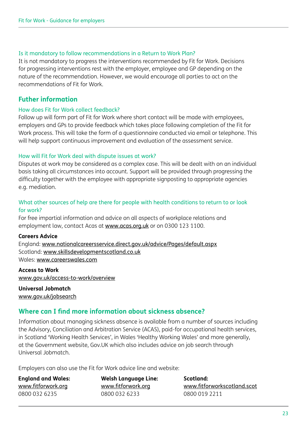#### Is it mandatory to follow recommendations in a Return to Work Plan?

It is not mandatory to progress the interventions recommended by Fit for Work. Decisions for progressing interventions rest with the employer, employee and GP depending on the nature of the recommendation. However, we would encourage all parties to act on the recommendations of Fit for Work.

### **Futher information**

#### How does Fit for Work collect feedback?

Follow up will form part of Fit for Work where short contact will be made with employees, employers and GPs to provide feedback which takes place following completion of the Fit for Work process. This will take the form of a questionnaire conducted via email or telephone. This will help support continuous improvement and evaluation of the assessment service.

#### How will Fit for Work deal with dispute issues at work?

Disputes at work may be considered as a complex case. This will be dealt with on an individual basis taking all circumstances into account. Support will be provided through progressing the difficulty together with the employee with appropriate signposting to appropriate agencies e.g. mediation.

#### What other sources of help are there for people with health conditions to return to or look for work?

For free impartial information and advice on all aspects of workplace relations and employment law, contact Acas at [www.acas.org.uk](http://www.acas.org.uk) or on 0300 123 1100.

#### **Careers Advice**

England: [www.nationalcareersservice.direct.gov.uk/advice/Pages/default.aspx](http://www.nationalcareersservice.direct.gov.uk/advice/Pages/default.aspx) Scotland: [www.skillsdevelopmentscotland.co.uk](http://www.skillsdevelopmentscotland.co.uk) Wales: [www.careerswales.com](http://www.careerswales.com)

**Access to Work** [www.gov.uk/access-to-work/overview](http://www.gov.uk/access-to-work/overview)

### **Universal Jobmatch**

[www.gov.uk/jobsearch](http://www.gov.uk/jobsearch)

#### **Where can I find more information about sickness absence?**

Information about managing sickness absence is available from a number of sources including the Advisory, Conciliation and Arbitration Service (ACAS), paid-for occupational health services, in Scotland 'Working Health Services', in Wales 'Healthy Working Wales' and more generally, at the Government website, Gov.UK which also includes advice on job search through Universal Jobmatch.

Employers can also use the Fit for Work advice line and website:

| <b>England and Wales:</b> | <b>Welsh Language Line:</b> | Scotland:                   |
|---------------------------|-----------------------------|-----------------------------|
| www.fitforwork.org        | www.fitforwork.org          | www.fitforworkscotland.scot |
| 0800 032 6235             | 0800 032 6233               | 0800 019 2211               |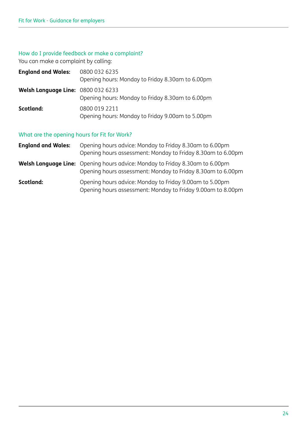#### How do I provide feedback or make a complaint?

You can make a complaint by calling:

| <b>England and Wales:</b>                 | 0800 032 6235<br>Opening hours: Monday to Friday 8.30am to 6.00pm |
|-------------------------------------------|-------------------------------------------------------------------|
| <b>Welsh Language Line: 0800 032 6233</b> | Opening hours: Monday to Friday 8.30am to 6.00pm                  |
| Scotland:                                 | 0800 019 2211<br>Opening hours: Monday to Friday 9.00am to 5.00pm |

#### What are the opening hours for Fit for Work?

**England and Wales:** Opening hours advice: Monday to Friday 8.30am to 6.00pm Opening hours assessment: Monday to Friday 8.30am to 6.00pm **Welsh Language Line:** Opening hours advice: Monday to Friday 8.30am to 6.00pm Opening hours assessment: Monday to Friday 8.30am to 6.00pm **Scotland:** Opening hours advice: Monday to Friday 9.00am to 5.00pm Opening hours assessment: Monday to Friday 9.00am to 8.00pm